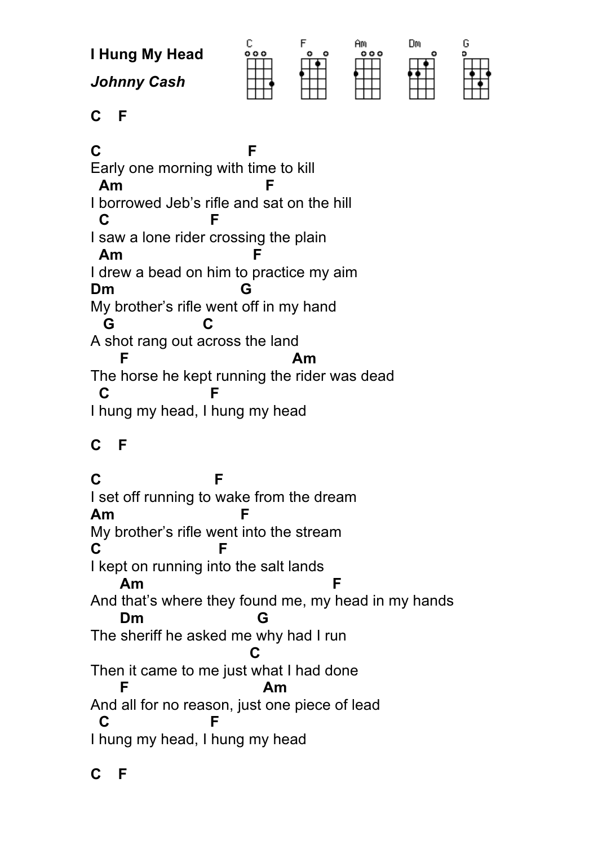

## **C F**

**C F** Early one morning with time to kill **Am** I borrowed Jeb's rifle and sat on the hill  **C F** I saw a lone rider crossing the plain **Am** I drew a bead on him to practice my aim **Dm G** My brother's rifle went off in my hand  **G C** A shot rang out across the land **F** Am The horse he kept running the rider was dead  **C F** I hung my head, I hung my head

## **C F**

**C F** I set off running to wake from the dream **Am F** My brother's rifle went into the stream **C F** I kept on running into the salt lands  **Am F** And that's where they found me, my head in my hands  **Dm G** The sheriff he asked me why had I run  **C** Then it came to me just what I had done **F** Am And all for no reason, just one piece of lead  **C F** I hung my head, I hung my head

**C F**